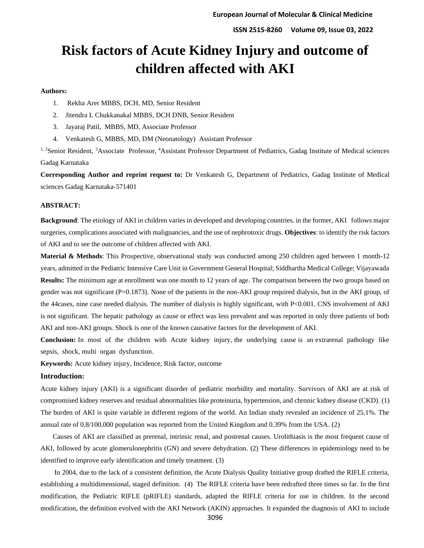# **Risk factors of Acute Kidney Injury and outcome of children affected with AKI**

#### **Authors:**

- 1. Rekha Arer MBBS, DCH, MD, Senior Resident
- 2. Jitendra L Chukkanakal MBBS, DCH DNB, Senior Resident
- 3. Jayaraj Patil, MBBS, MD, Associate Professor
- 4. Venkatesh G, MBBS, MD, DM (Neonatology) Assistant Professor

<sup>1, 2</sup>Senior Resident, <sup>3</sup>Associate Professor, <sup>4</sup>Assistant Professor Department of Pediatrics, Gadag Institute of Medical sciences Gadag Karnataka

**Corresponding Author and reprint request to:** Dr Venkatesh G, Department of Pediatrics, Gadag Institute of Medical sciences Gadag Karnataka-571401

#### **ABSTRACT:**

**Background**: The etiology of AKI in children varies in developed and developing countries. in the former, AKI follows major surgeries, complications associated with malignancies, and the use of nephrotoxic drugs. **Objectives**: to identify the risk factors of AKI and to see the outcome of children affected with AKI.

**Material & Methods**: This Prospective, observational study was conducted among 250 children aged between 1 month-12 years, admitted in the Pediatric Intensive Care Unit in Government General Hospital; Siddhartha Medical College; Vijayawada **Results:** The minimum age at enrollment was one month to 12 years of age. The comparison between the two groups based on gender was not significant  $(P=0.1873)$ . None of the patients in the non-AKI group required dialysis, but in the AKI group, of the 44cases, nine case needed dialysis. The number of dialysis is highly significant, with P<0.001. CNS involvement of AKI is not significant. The hepatic pathology as cause or effect was less prevalent and was reported in only three patients of both AKI and non-AKI groups. Shock is one of the known causative factors for the development of AKI.

**Conclusion:** In most of the children with Acute kidney injury, the underlying cause is an extrarenal pathology like sepsis, shock, multi organ dysfunction.

**Keywords:** Acute kidney injury, Incidence, Risk factor, outcome

## **Introduction:**

Acute kidney injury (AKI) is a significant disorder of pediatric morbidity and mortality. Survivors of AKI are at risk of compromised kidney reserves and residual abnormalities like proteinuria, hypertension, and chronic kidney disease (CKD). (1) The burden of AKI is quite variable in different regions of the world. An Indian study revealed an incidence of 25.1%. The annual rate of 0.8/100,000 population was reported from the United Kingdom and 0.39% from the USA. (2)

 Causes of AKI are classified as prerenal, intrinsic renal, and postrenal causes. Urolithiasis is the most frequent cause of AKI, followed by acute glomerulonephritis (GN) and severe dehydration. (2) These differences in epidemiology need to be identified to improve early identification and timely treatment. (3)

 In 2004, due to the lack of a consistent definition, the Acute Dialysis Quality Initiative group drafted the RIFLE criteria, establishing a multidimensional, staged definition. (4) The RIFLE criteria have been redrafted three times so far. In the first modification, the Pediatric RIFLE (pRIFLE) standards, adapted the RIFLE criteria for use in children. In the second modification, the definition evolved with the AKI Network (AKIN) approaches. It expanded the diagnosis of AKI to include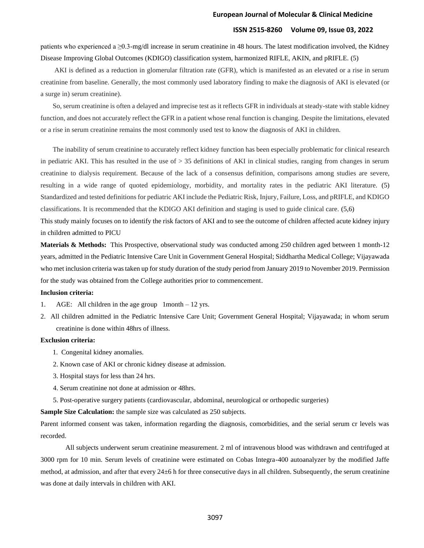#### **European Journal of Molecular & Clinical Medicine**

## **ISSN 2515-8260 Volume 09, Issue 03, 2022**

patients who experienced a ≥0.3-mg/dl increase in serum creatinine in 48 hours. The latest modification involved, the Kidney Disease Improving Global Outcomes (KDIGO) classification system, harmonized RIFLE, AKIN, and pRIFLE. (5)

 AKI is defined as a reduction in glomerular filtration rate (GFR), which is manifested as an elevated or a rise in serum creatinine from baseline. Generally, the most commonly used laboratory finding to make the diagnosis of AKI is elevated (or a surge in) serum creatinine).

 So, serum creatinine is often a delayed and imprecise test as it reflects GFR in individuals at steady-state with stable kidney function, and does not accurately reflect the GFR in a patient whose renal function is changing. Despite the limitations, elevated or a rise in serum creatinine remains the most commonly used test to know the diagnosis of AKI in children.

 The inability of serum creatinine to accurately reflect kidney function has been especially problematic for clinical research in pediatric AKI. This has resulted in the use of > 35 definitions of AKI in clinical studies, ranging from changes in serum creatinine to dialysis requirement. Because of the lack of a consensus definition, comparisons among studies are severe, resulting in a wide range of quoted epidemiology, morbidity, and mortality rates in the pediatric AKI literature. (5) Standardized and tested definitions for pediatric AKI include the Pediatric Risk, Injury, Failure, Loss, and pRIFLE, and KDIGO classifications. It is recommended that the KDIGO AKI definition and staging is used to guide clinical care. (5,6)

This study mainly focuses on to identify the risk factors of AKI and to see the outcome of children affected acute kidney injury in children admitted to PICU

**Materials & Methods:** This Prospective, observational study was conducted among 250 children aged between 1 month-12 years, admitted in the Pediatric Intensive Care Unit in Government General Hospital; Siddhartha Medical College; Vijayawada who met inclusion criteria was taken up for study duration of the study period from January 2019 to November 2019. Permission for the study was obtained from the College authorities prior to commencement.

#### **Inclusion criteria:**

- 1. AGE: All children in the age group 1month 12 yrs.
- 2. All children admitted in the Pediatric Intensive Care Unit; Government General Hospital; Vijayawada; in whom serum creatinine is done within 48hrs of illness.

### **Exclusion criteria:**

- 1. Congenital kidney anomalies.
- 2. Known case of AKI or chronic kidney disease at admission.
- 3. Hospital stays for less than 24 hrs.
- 4. Serum creatinine not done at admission or 48hrs.
- 5. Post-operative surgery patients (cardiovascular, abdominal, neurological or orthopedic surgeries)

**Sample Size Calculation:** the sample size was calculated as 250 subjects.

Parent informed consent was taken, information regarding the diagnosis, comorbidities, and the serial serum cr levels was recorded.

All subjects underwent serum creatinine measurement. 2 ml of intravenous blood was withdrawn and centrifuged at 3000 rpm for 10 min. Serum levels of creatinine were estimated on Cobas Integra-400 autoanalyzer by the modified Jaffe method, at admission, and after that every 24±6 h for three consecutive days in all children. Subsequently, the serum creatinine was done at daily intervals in children with AKI.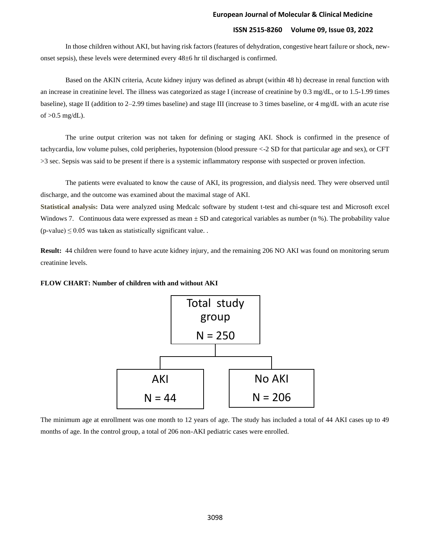In those children without AKI, but having risk factors (features of dehydration, congestive heart failure or shock, newonset sepsis), these levels were determined every 48±6 hr til discharged is confirmed.

Based on the AKIN criteria, Acute kidney injury was defined as abrupt (within 48 h) decrease in renal function with an increase in creatinine level. The illness was categorized as stage I (increase of creatinine by 0.3 mg/dL, or to 1.5-1.99 times baseline), stage II (addition to 2–2.99 times baseline) and stage III (increase to 3 times baseline, or 4 mg/dL with an acute rise of  $>0.5$  mg/dL).

The urine output criterion was not taken for defining or staging AKI. Shock is confirmed in the presence of tachycardia, low volume pulses, cold peripheries, hypotension (blood pressure <-2 SD for that particular age and sex), or CFT >3 sec. Sepsis was said to be present if there is a systemic inflammatory response with suspected or proven infection.

The patients were evaluated to know the cause of AKI, its progression, and dialysis need. They were observed until discharge, and the outcome was examined about the maximal stage of AKI.

**Statistical analysis:** Data were analyzed using Medcalc software by student t-test and chi-square test and Microsoft excel Windows 7. Continuous data were expressed as mean  $\pm$  SD and categorical variables as number (n %). The probability value  $(p$ -value)  $\leq$  0.05 was taken as statistically significant value.

**Result:** 44 children were found to have acute kidney injury, and the remaining 206 NO AKI was found on monitoring serum creatinine levels.





The minimum age at enrollment was one month to 12 years of age. The study has included a total of 44 AKI cases up to 49 months of age. In the control group, a total of 206 non-AKI pediatric cases were enrolled.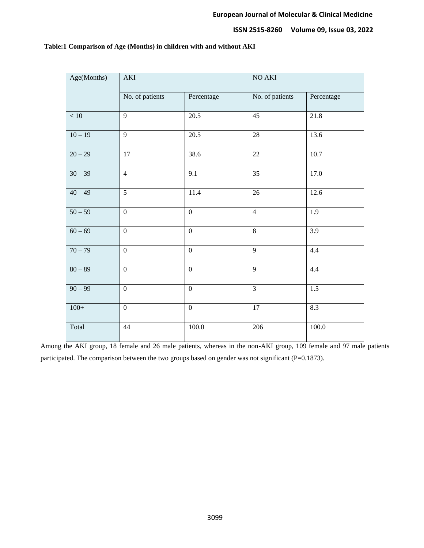| Age(Months) | $\mathbf{AKI}$   |                  | $NO$ $AKI$      |            |  |  |
|-------------|------------------|------------------|-----------------|------------|--|--|
|             | No. of patients  | Percentage       | No. of patients | Percentage |  |  |
| $<10\,$     | $\overline{9}$   | 20.5             | 45              | 21.8       |  |  |
| $10 - 19$   | 9                | 20.5             | $28\,$          | 13.6       |  |  |
| $20 - 29$   | 17               | 38.6             | 22              | 10.7       |  |  |
| $30 - 39$   | $\overline{4}$   | 9.1              | $\overline{35}$ | 17.0       |  |  |
| $40 - 49$   | $\overline{5}$   | $11.4\,$         | 26              | 12.6       |  |  |
| $50 - 59$   | $\mathbf{0}$     | $\boldsymbol{0}$ | $\overline{4}$  | 1.9        |  |  |
| $60 - 69$   | $\mathbf{0}$     | $\boldsymbol{0}$ | $\,8\,$         | 3.9        |  |  |
| $70 - 79$   | $\mathbf{0}$     | $\boldsymbol{0}$ | $\overline{9}$  | 4.4        |  |  |
| $80 - 89$   | $\boldsymbol{0}$ | $\boldsymbol{0}$ | $\overline{9}$  | 4.4        |  |  |
| $90 - 99$   | $\mathbf{0}$     | $\mathbf{0}$     | $\overline{3}$  | 1.5        |  |  |
| $100+$      | $\mathbf{0}$     | $\boldsymbol{0}$ | $17\,$          | 8.3        |  |  |
| Total       | 44               | $100.0\,$        | 206             | 100.0      |  |  |

## **Table:1 Comparison of Age (Months) in children with and without AKI**

Among the AKI group, 18 female and 26 male patients, whereas in the non-AKI group, 109 female and 97 male patients participated. The comparison between the two groups based on gender was not significant (P=0.1873).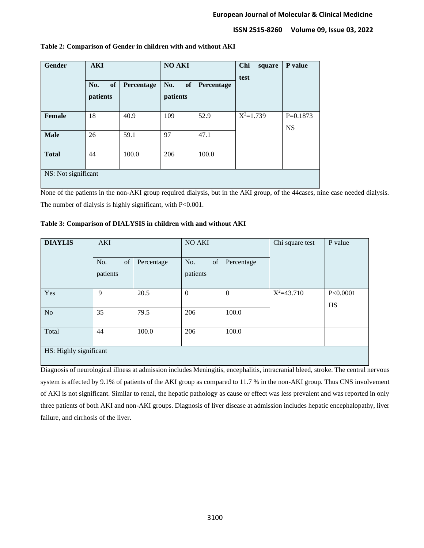| Gender              | <b>AKI</b> |                   | <b>NO AKI</b> |            | Chi<br>square<br>test | P value    |
|---------------------|------------|-------------------|---------------|------------|-----------------------|------------|
|                     | of<br>No.  | <b>Percentage</b> | of<br>No.     | Percentage |                       |            |
|                     | patients   |                   | patients      |            |                       |            |
|                     |            |                   |               |            |                       |            |
| Female              | 18         | 40.9              | 109           | 52.9       | $X^2=1.739$           | $P=0.1873$ |
|                     |            |                   |               |            |                       | <b>NS</b>  |
| <b>Male</b>         | 26         | 59.1              | 97            | 47.1       |                       |            |
|                     |            |                   |               |            |                       |            |
| <b>Total</b>        | 44         | 100.0             | 206           | 100.0      |                       |            |
|                     |            |                   |               |            |                       |            |
| NS: Not significant |            |                   |               |            |                       |            |
|                     |            |                   |               |            |                       |            |

### **Table 2: Comparison of Gender in children with and without AKI**

None of the patients in the non-AKI group required dialysis, but in the AKI group, of the 44cases, nine case needed dialysis. The number of dialysis is highly significant, with P<0.001.

| Table 3: Comparison of DIALYSIS in children with and without AKI |
|------------------------------------------------------------------|
|------------------------------------------------------------------|

| <b>DIAYLIS</b>         | <b>AKI</b> |            | NO AKI       |                | Chi square test | P value               |  |
|------------------------|------------|------------|--------------|----------------|-----------------|-----------------------|--|
|                        | of<br>No.  | Percentage | of<br>No.    | Percentage     |                 |                       |  |
|                        | patients   |            | patients     |                |                 |                       |  |
| Yes                    | 9          | 20.5       | $\mathbf{0}$ | $\overline{0}$ | $X^2 = 43.710$  | P<0.0001<br><b>HS</b> |  |
| N <sub>o</sub>         | 35         | 79.5       | 206          | 100.0          |                 |                       |  |
| Total                  | 44         | 100.0      | 206          | 100.0          |                 |                       |  |
| HS: Highly significant |            |            |              |                |                 |                       |  |

Diagnosis of neurological illness at admission includes Meningitis, encephalitis, intracranial bleed, stroke. The central nervous system is affected by 9.1% of patients of the AKI group as compared to 11.7 % in the non-AKI group. Thus CNS involvement of AKI is not significant. Similar to renal, the hepatic pathology as cause or effect was less prevalent and was reported in only three patients of both AKI and non-AKI groups. Diagnosis of liver disease at admission includes hepatic encephalopathy, liver failure, and cirrhosis of the liver.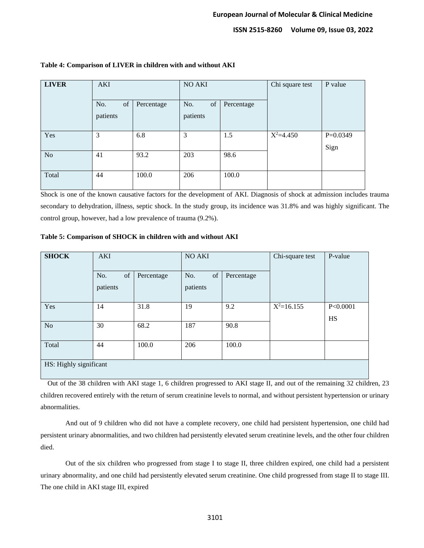| <b>LIVER</b> | AKI                   |            | NO AKI                |            | Chi square test | P value            |
|--------------|-----------------------|------------|-----------------------|------------|-----------------|--------------------|
|              | of<br>No.<br>patients | Percentage | of<br>No.<br>patients | Percentage |                 |                    |
| Yes          | 3                     | 6.8        | 3                     | 1.5        | $X^2=4.450$     | $P=0.0349$<br>Sign |
| No           | 41                    | 93.2       | 203                   | 98.6       |                 |                    |
| Total        | 44                    | 100.0      | 206                   | 100.0      |                 |                    |

## **Table 4: Comparison of LIVER in children with and without AKI**

Shock is one of the known causative factors for the development of AKI. Diagnosis of shock at admission includes trauma secondary to dehydration, illness, septic shock. In the study group, its incidence was 31.8% and was highly significant. The control group, however, had a low prevalence of trauma (9.2%).

#### **Table 5: Comparison of SHOCK in children with and without AKI**

| <b>SHOCK</b>           | <b>AKI</b>            |            | NO AKI                |            | Chi-square test | P-value               |
|------------------------|-----------------------|------------|-----------------------|------------|-----------------|-----------------------|
|                        | of<br>No.<br>patients | Percentage | of<br>No.<br>patients | Percentage |                 |                       |
| Yes                    | 14                    | 31.8       | 19                    | 9.2        | $X^2=16.155$    | P<0.0001<br><b>HS</b> |
| N <sub>o</sub>         | 30                    | 68.2       | 187                   | 90.8       |                 |                       |
| Total                  | 44                    | 100.0      | 206                   | 100.0      |                 |                       |
| HS: Highly significant |                       |            |                       |            |                 |                       |

 Out of the 38 children with AKI stage 1, 6 children progressed to AKI stage II, and out of the remaining 32 children, 23 children recovered entirely with the return of serum creatinine levels to normal, and without persistent hypertension or urinary abnormalities.

And out of 9 children who did not have a complete recovery, one child had persistent hypertension, one child had persistent urinary abnormalities, and two children had persistently elevated serum creatinine levels, and the other four children died.

Out of the six children who progressed from stage I to stage II, three children expired, one child had a persistent urinary abnormality, and one child had persistently elevated serum creatinine. One child progressed from stage II to stage III. The one child in AKI stage III, expired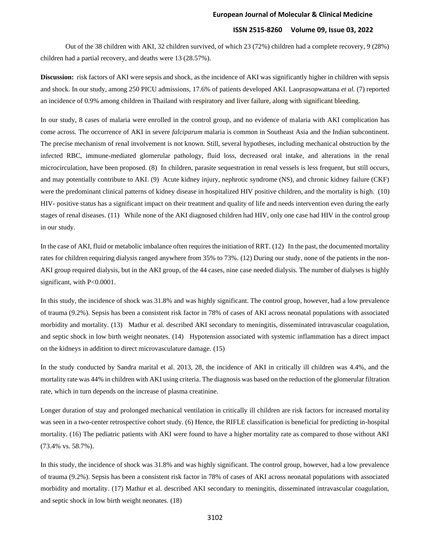Out of the 38 children with AKI, 32 children survived, of which 23 (72%) children had a complete recovery, 9 (28%) children had a partial recovery, and deaths were 13 (28.57%).

**Discussion:** risk factors of AKI were sepsis and shock, as the incidence of AKI was significantly higher in children with sepsis and shock. In our study, among 250 PICU admissions, 17.6% of patients developed AKI. Laoprasopwattana *et al.* (7) reported an incidence of 0.9% among children in Thailand with respiratory and liver failure, along with significant bleeding.

In our study, 8 cases of malaria were enrolled in the control group, and no evidence of malaria with AKI complication has come across. The occurrence of AKI in severe *falciparum* malaria is common in Southeast Asia and the Indian subcontinent. The precise mechanism of renal involvement is not known. Still, several hypotheses, including mechanical obstruction by the infected RBC, immune-mediated glomerular pathology, fluid loss, decreased oral intake, and alterations in the renal microcirculation, have been proposed. (8) In children, parasite sequestration in renal vessels is less frequent, but still occurs, and may potentially contribute to AKI. (9) Acute kidney injury, nephrotic syndrome (NS), and chronic kidney failure (CKF) were the predominant clinical patterns of kidney disease in hospitalized HIV positive children, and the mortality is high. (10) HIV- positive status has a significant impact on their treatment and quality of life and needs intervention even during the early stages of renal diseases. (11) While none of the AKI diagnosed children had HIV, only one case had HIV in the control group in our study.

In the case of AKI, fluid or metabolic imbalance often requires the initiation of RRT. (12) In the past, the documented mortality rates for children requiring dialysis ranged anywhere from 35% to 73%. (12) During our study, none of the patients in the non-AKI group required dialysis, but in the AKI group, of the 44 cases, nine case needed dialysis. The number of dialyses is highly significant, with P<0.0001.

In this study, the incidence of shock was 31.8% and was highly significant. The control group, however, had a low prevalence of trauma (9.2%). Sepsis has been a consistent risk factor in 78% of cases of AKI across neonatal populations with associated morbidity and mortality. (13) Mathur et al. described AKI secondary to meningitis, disseminated intravascular coagulation, and septic shock in low birth weight neonates. (14) Hypotension associated with systemic inflammation has a direct impact on the kidneys in addition to direct microvasculature damage. (15)

In the study conducted by Sandra marital et al. 2013, 28, the incidence of AKI in critically ill children was 4.4%, and the mortality rate was 44% in children with AKI using criteria. The diagnosis was based on the reduction of the glomerular filtration rate, which in turn depends on the increase of plasma creatinine.

Longer duration of stay and prolonged mechanical ventilation in critically ill children are risk factors for increased mortality was seen in a two-center retrospective cohort study. (6) Hence, the RIFLE classification is beneficial for predicting in-hospital mortality. (16) The pediatric patients with AKI were found to have a higher mortality rate as compared to those without AKI (73.4% vs. 58.7%).

In this study, the incidence of shock was 31.8% and was highly significant. The control group, however, had a low prevalence of trauma (9.2%). Sepsis has been a consistent risk factor in 78% of cases of AKI across neonatal populations with associated morbidity and mortality. (17) Mathur et al. described AKI secondary to meningitis, disseminated intravascular coagulation, and septic shock in low birth weight neonates. (18)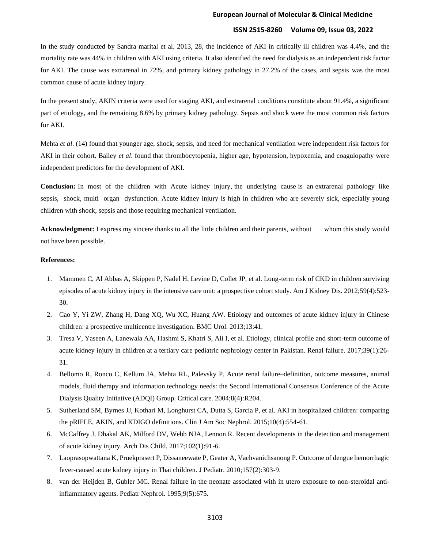#### **European Journal of Molecular & Clinical Medicine**

## **ISSN 2515-8260 Volume 09, Issue 03, 2022**

In the study conducted by Sandra marital et al. 2013, 28, the incidence of AKI in critically ill children was 4.4%, and the mortality rate was 44% in children with AKI using criteria. It also identified the need for dialysis as an independent risk factor for AKI. The cause was extrarenal in 72%, and primary kidney pathology in 27.2% of the cases, and sepsis was the most common cause of acute kidney injury.

In the present study, AKIN criteria were used for staging AKI, and extrarenal conditions constitute about 91.4%, a significant part of etiology, and the remaining 8.6% by primary kidney pathology. Sepsis and shock were the most common risk factors for AKI.

Mehta *et al*. (14) found that younger age, shock, sepsis, and need for mechanical ventilation were independent risk factors for AKI in their cohort. Bailey *et al*. found that thrombocytopenia, higher age, hypotension, hypoxemia, and coagulopathy were independent predictors for the development of AKI.

**Conclusion:** In most of the children with Acute kidney injury, the underlying cause is an extrarenal pathology like sepsis, shock, multi organ dysfunction. Acute kidney injury is high in children who are severely sick, especially young children with shock, sepsis and those requiring mechanical ventilation.

**Acknowledgment:** I express my sincere thanks to all the little children and their parents, without whom this study would not have been possible.

### **References:**

- 1. Mammen C, Al Abbas A, Skippen P, Nadel H, Levine D, Collet JP, et al. Long-term risk of CKD in children surviving episodes of acute kidney injury in the intensive care unit: a prospective cohort study. Am J Kidney Dis. 2012;59(4):523- 30.
- 2. Cao Y, Yi ZW, Zhang H, Dang XQ, Wu XC, Huang AW. Etiology and outcomes of acute kidney injury in Chinese children: a prospective multicentre investigation. BMC Urol. 2013;13:41.
- 3. Tresa V, Yaseen A, Lanewala AA, Hashmi S, Khatri S, Ali I, et al. Etiology, clinical profile and short-term outcome of acute kidney injury in children at a tertiary care pediatric nephrology center in Pakistan. Renal failure. 2017;39(1):26- 31.
- 4. Bellomo R, Ronco C, Kellum JA, Mehta RL, Palevsky P. Acute renal failure–definition, outcome measures, animal models, fluid therapy and information technology needs: the Second International Consensus Conference of the Acute Dialysis Quality Initiative (ADQI) Group. Critical care. 2004;8(4):R204.
- 5. Sutherland SM, Byrnes JJ, Kothari M, Longhurst CA, Dutta S, Garcia P, et al. AKI in hospitalized children: comparing the pRIFLE, AKIN, and KDIGO definitions. Clin J Am Soc Nephrol. 2015;10(4):554-61.
- 6. McCaffrey J, Dhakal AK, Milford DV, Webb NJA, Lennon R. Recent developments in the detection and management of acute kidney injury. Arch Dis Child. 2017;102(1):91-6.
- 7. Laoprasopwattana K, Pruekprasert P, Dissaneewate P, Geater A, Vachvanichsanong P. Outcome of dengue hemorrhagic fever-caused acute kidney injury in Thai children. J Pediatr. 2010;157(2):303-9.
- 8. van der Heijden B, Gubler MC. Renal failure in the neonate associated with in utero exposure to non-steroidal antiinflammatory agents. Pediatr Nephrol. 1995;9(5):675.